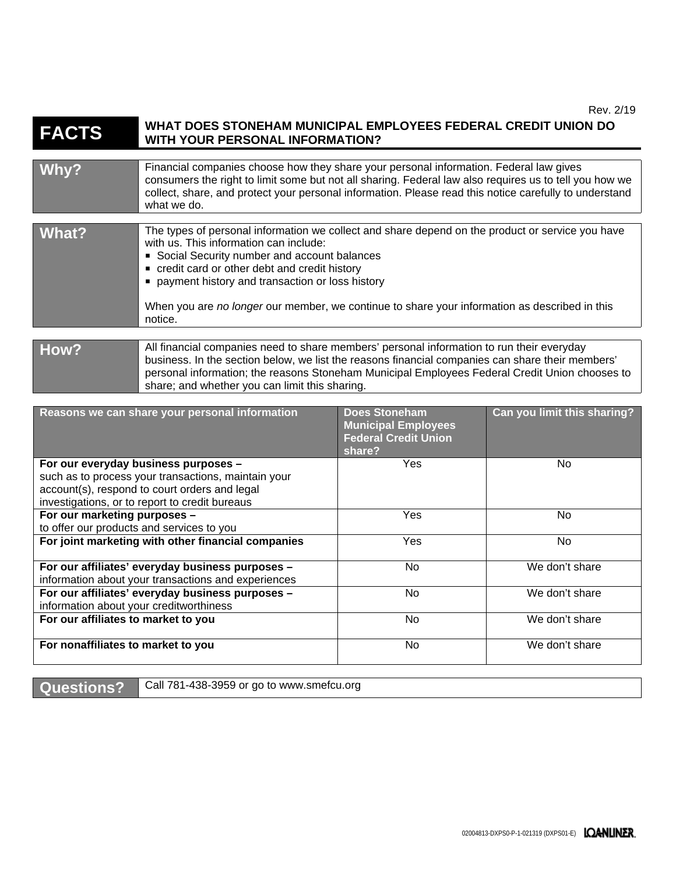#### **FACTS WHAT DOES STONEHAM MUNICIPAL EMPLOYEES FEDERAL CREDIT UNION DO WITH YOUR PERSONAL INFORMATION?**

### Why? **Financial companies choose how they share your personal information. Federal law gives** consumers the right to limit some but not all sharing. Federal law also requires us to tell you how we collect, share, and protect your personal information. Please read this notice carefully to understand what we do. **What?** The types of personal information we collect and share depend on the product or service you have with us. This information can include: Social Security number and account balances credit card or other debt and credit history **payment history and transaction or loss history** When you are *no longer* our member, we continue to share your information as described in this notice. How? All financial companies need to share members' personal information to run their everyday

### business. In the section below, we list the reasons financial companies can share their members' personal information; the reasons Stoneham Municipal Employees Federal Credit Union chooses to share; and whether you can limit this sharing.

| Reasons we can share your personal information                                                                                                                                                 | <b>Does Stoneham</b><br><b>Municipal Employees</b><br><b>Federal Credit Union</b><br>share? | Can you limit this sharing? |
|------------------------------------------------------------------------------------------------------------------------------------------------------------------------------------------------|---------------------------------------------------------------------------------------------|-----------------------------|
| For our everyday business purposes -<br>such as to process your transactions, maintain your<br>account(s), respond to court orders and legal<br>investigations, or to report to credit bureaus | Yes                                                                                         | No.                         |
| For our marketing purposes -<br>to offer our products and services to you                                                                                                                      | <b>Yes</b>                                                                                  | No.                         |
| For joint marketing with other financial companies                                                                                                                                             | Yes                                                                                         | No                          |
| For our affiliates' everyday business purposes -<br>information about your transactions and experiences                                                                                        | No                                                                                          | We don't share              |
| For our affiliates' everyday business purposes -<br>information about your creditworthiness                                                                                                    | No.                                                                                         | We don't share              |
| For our affiliates to market to you                                                                                                                                                            | No                                                                                          | We don't share              |
| For nonaffiliates to market to you                                                                                                                                                             | No.                                                                                         | We don't share              |

Questions? Call 781-438-3959 or go to www.smefcu.org